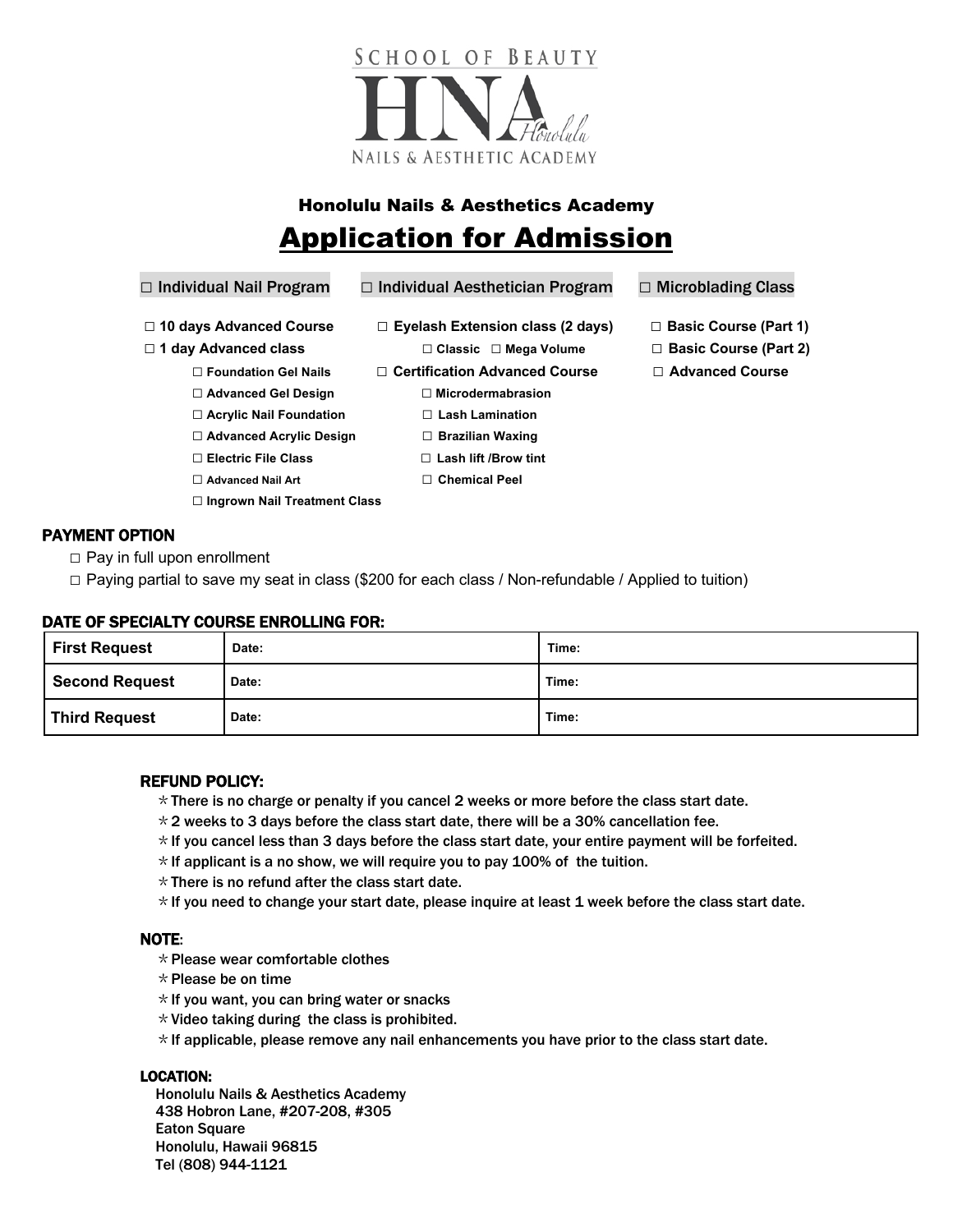

# Honolulu Nails & Aesthetics Academy Application for Admission

# **□** Individual Nail Program **□** Individual Aesthetician Program **□** Microblading Class

- **□ 10 days Advanced Course □ Eyelash Extension class (2 days) □ Basic Course (Part 1)**
- - **□ Foundation Gel Nails □ Certification Advanced Course □ Advanced Course**
	- □ **Advanced Gel Design** □ **D** Microdermabrasion
	- **□ Acrylic Nail Foundation □ Lash Lamination**
	- **□ Advanced Acrylic Design □ Brazilian Waxing**
	- **□ Electric File Class □ Lash lift /Brow tint**
	- **□ Advanced Nail Art □ Chemical Peel**
	- **□ Ingrown Nail Treatment Class**
- PAYMENT OPTION
	- **□** Pay in full upon enrollment
	- **□** Paying partial to save my seat in class (\$200 for each class / Non-refundable / Applied to tuition)

### DATE OF SPECIALTY COURSE ENROLLING FOR:

| <b>First Request</b>  | Date: | Time: |
|-----------------------|-------|-------|
| <b>Second Request</b> | Date: | Time: |
| <b>Third Request</b>  | Date: | Time: |

### REFUND POLICY:

- $*$ There is no charge or penalty if you cancel 2 weeks or more before the class start date.
- $\star$  2 weeks to 3 days before the class start date, there will be a 30% cancellation fee.
- $\star$  If you cancel less than 3 days before the class start date, your entire payment will be forfeited.
- $*$  If applicant is a no show, we will require you to pay 100% of the tuition.
- $*$  There is no refund after the class start date.
- $\star$  If you need to change your start date, please inquire at least 1 week before the class start date.

#### NOTE:

- $*$  Please wear comfortable clothes
- $*$  Please be on time
- $*$  If you want, you can bring water or snacks
- $*$  Video taking during the class is prohibited.
- $\star$  If applicable, please remove any nail enhancements you have prior to the class start date.

#### LOCATION:

Honolulu Nails & Aesthetics Academy 438 Hobron Lane, #207-208, #305 Eaton Square Honolulu, Hawaii 96815 Tel (808) 944-1121

- 
- **□ 1 day Advanced class □ Classic □ Mega Volume □ Basic Course (Part 2)** 
	-